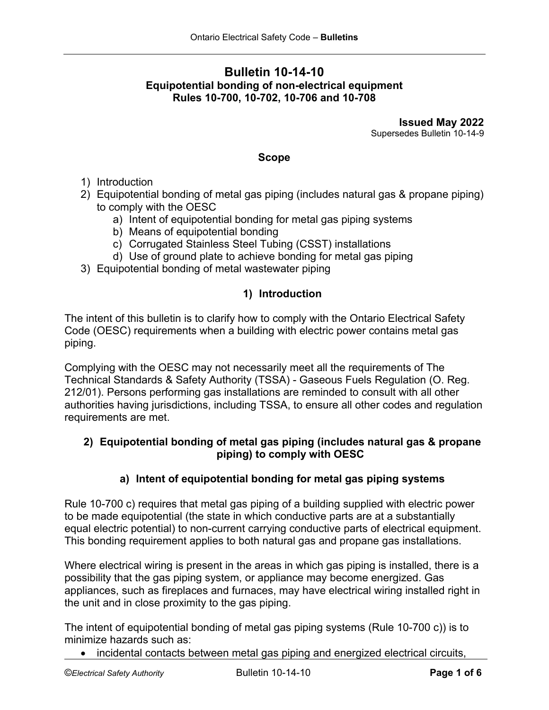# **Bulletin 10-14-10 Equipotential bonding of non-electrical equipment Rules 10-700, 10-702, 10-706 and 10-708**

**Issued May 2022** Supersedes Bulletin 10-14-9

### **Scope**

- 1) Introduction
- 2) Equipotential bonding of metal gas piping (includes natural gas & propane piping) to comply with the OESC
	- a) Intent of equipotential bonding for metal gas piping systems
	- b) Means of equipotential bonding
	- c) Corrugated Stainless Steel Tubing (CSST) installations
	- d) Use of ground plate to achieve bonding for metal gas piping
- 3) Equipotential bonding of metal wastewater piping

### **1) Introduction**

The intent of this bulletin is to clarify how to comply with the Ontario Electrical Safety Code (OESC) requirements when a building with electric power contains metal gas piping.

Complying with the OESC may not necessarily meet all the requirements of The Technical Standards & Safety Authority (TSSA) - [Gaseous Fuels Regulation \(O. Reg.](https://www.tssa.org/en/fuels/legislation-and-regulatory-information.aspx)  [212/01\).](https://www.tssa.org/en/fuels/legislation-and-regulatory-information.aspx) Persons performing gas installations are reminded to consult with all other authorities having jurisdictions, including TSSA, to ensure all other codes and regulation requirements are met.

### **2) Equipotential bonding of metal gas piping (includes natural gas & propane piping) to comply with OESC**

### **a) Intent of equipotential bonding for metal gas piping systems**

Rule 10-700 c) requires that metal gas piping of a building supplied with electric power to be made equipotential (the state in which conductive parts are at a substantially equal electric potential) to non-current carrying conductive parts of electrical equipment. This bonding requirement applies to both natural gas and propane gas installations.

Where electrical wiring is present in the areas in which gas piping is installed, there is a possibility that the gas piping system, or appliance may become energized. Gas appliances, such as fireplaces and furnaces, may have electrical wiring installed right in the unit and in close proximity to the gas piping.

The intent of equipotential bonding of metal gas piping systems (Rule 10-700 c)) is to minimize hazards such as:

• incidental contacts between metal gas piping and energized electrical circuits,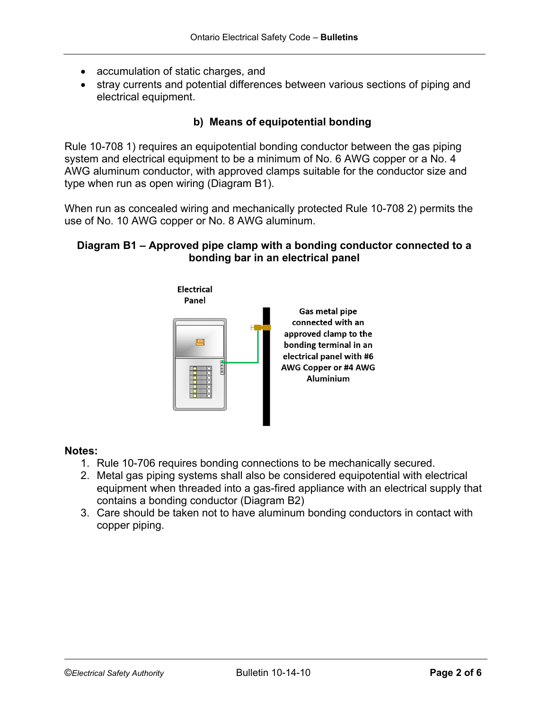- accumulation of static charges, and
- stray currents and potential differences between various sections of piping and electrical equipment.

# **b) Means of equipotential bonding**

Rule 10-708 1) requires an equipotential bonding conductor between the gas piping system and electrical equipment to be a minimum of No. 6 AWG copper or a No. 4 AWG aluminum conductor, with approved clamps suitable for the conductor size and type when run as open wiring (Diagram B1).

When run as concealed wiring and mechanically protected Rule 10-708 2) permits the use of No. 10 AWG copper or No. 8 AWG aluminum.

### **Diagram B1 – Approved pipe clamp with a bonding conductor connected to a bonding bar in an electrical panel**



#### **Notes:**

- 1. Rule 10-706 requires bonding connections to be mechanically secured.
- 2. Metal gas piping systems shall also be considered equipotential with electrical equipment when threaded into a gas-fired appliance with an electrical supply that contains a bonding conductor (Diagram B2)
- 3. Care should be taken not to have aluminum bonding conductors in contact with copper piping.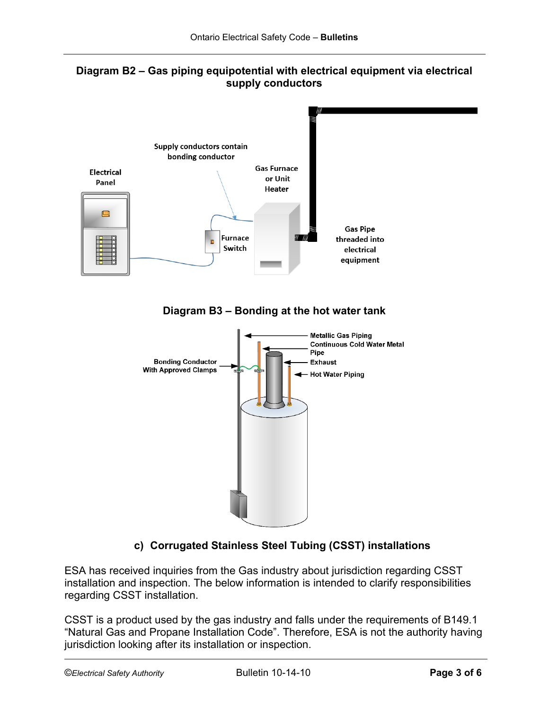



**Diagram B3 – Bonding at the hot water tank**



# **c) Corrugated Stainless Steel Tubing (CSST) installations**

ESA has received inquiries from the Gas industry about jurisdiction regarding CSST installation and inspection. The below information is intended to clarify responsibilities regarding CSST installation.

CSST is a product used by the gas industry and falls under the requirements of B149.1 "Natural Gas and Propane Installation Code". Therefore, ESA is not the authority having jurisdiction looking after its installation or inspection.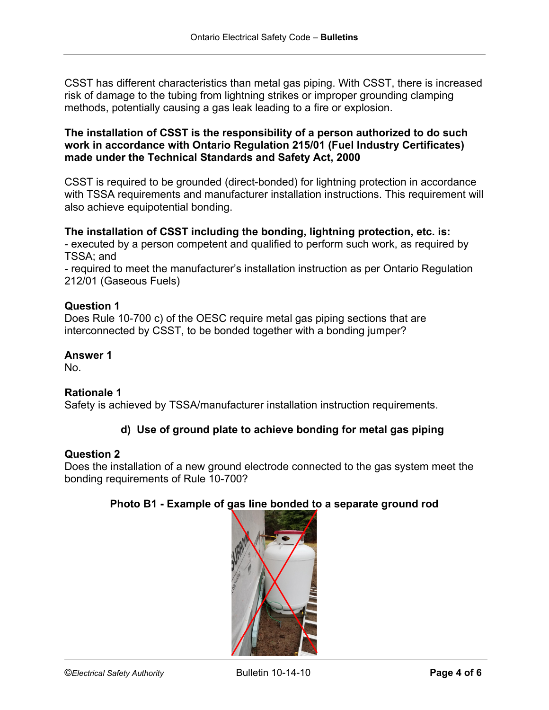CSST has different characteristics than metal gas piping. With CSST, there is increased risk of damage to the tubing from lightning strikes or improper grounding clamping methods, potentially causing a gas leak leading to a fire or explosion.

### **The installation of CSST is the responsibility of a person authorized to do such work in accordance with Ontario Regulation 215/01 (Fuel Industry Certificates) made under the Technical Standards and Safety Act, 2000**

CSST is required to be grounded (direct-bonded) for lightning protection in accordance with TSSA requirements and manufacturer installation instructions. This requirement will also achieve equipotential bonding.

# **The installation of CSST including the bonding, lightning protection, etc. is:**

- executed by a person competent and qualified to perform such work, as required by TSSA; and

- required to meet the manufacturer's installation instruction as per Ontario Regulation 212/01 (Gaseous Fuels)

### **Question 1**

Does Rule 10-700 c) of the OESC require metal gas piping sections that are interconnected by CSST, to be bonded together with a bonding jumper?

### **Answer 1**

No.

# **Rationale 1**

Safety is achieved by TSSA/manufacturer installation instruction requirements.

# **d) Use of ground plate to achieve bonding for metal gas piping**

### **Question 2**

Does the installation of a new ground electrode connected to the gas system meet the bonding requirements of Rule 10-700?

### **Photo B1 - Example of gas line bonded to a separate ground rod**

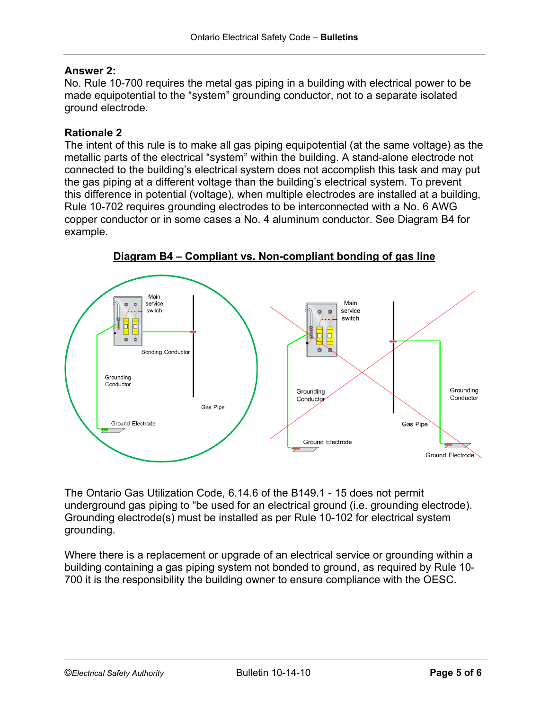### **Answer 2:**

No. Rule 10-700 requires the metal gas piping in a building with electrical power to be made equipotential to the "system" grounding conductor, not to a separate isolated ground electrode.

#### **Rationale 2**

The intent of this rule is to make all gas piping equipotential (at the same voltage) as the metallic parts of the electrical "system" within the building. A stand-alone electrode not connected to the building's electrical system does not accomplish this task and may put the gas piping at a different voltage than the building's electrical system. To prevent this difference in potential (voltage), when multiple electrodes are installed at a building, Rule 10-702 requires grounding electrodes to be interconnected with a No. 6 AWG copper conductor or in some cases a No. 4 aluminum conductor. See Diagram B4 for example.



**Diagram B4 – Compliant vs. Non-compliant bonding of gas line**

The Ontario Gas Utilization Code, 6.14.6 of the B149.1 - 15 does not permit underground gas piping to "be used for an electrical ground (i.e. grounding electrode). Grounding electrode(s) must be installed as per Rule 10-102 for electrical system grounding.

Where there is a replacement or upgrade of an electrical service or grounding within a building containing a gas piping system not bonded to ground, as required by Rule 10- 700 it is the responsibility the building owner to ensure compliance with the OESC.